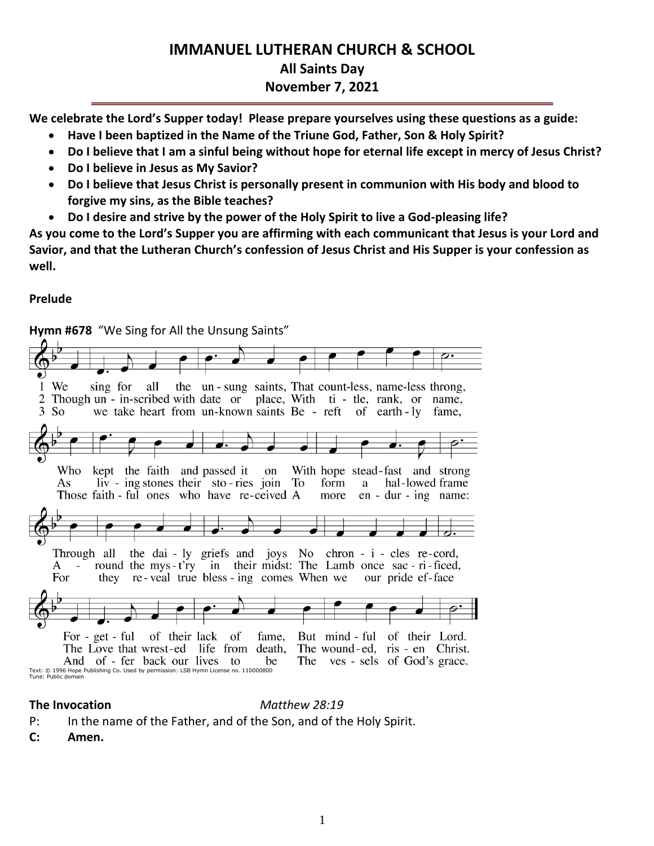# **IMMANUEL LUTHERAN CHURCH & SCHOOL All Saints Day November 7, 2021**

**We celebrate the Lord's Supper today! Please prepare yourselves using these questions as a guide:**

- **Have I been baptized in the Name of the Triune God, Father, Son & Holy Spirit?**
- **Do I believe that I am a sinful being without hope for eternal life except in mercy of Jesus Christ?**
- **Do I believe in Jesus as My Savior?**
- **Do I believe that Jesus Christ is personally present in communion with His body and blood to forgive my sins, as the Bible teaches?**
- **Do I desire and strive by the power of the Holy Spirit to live a God-pleasing life?**

**As you come to the Lord's Supper you are affirming with each communicant that Jesus is your Lord and Savior, and that the Lutheran Church's confession of Jesus Christ and His Supper is your confession as well.**

## **Prelude**



**The Invocation** *Matthew 28:19*

- P: In the name of the Father, and of the Son, and of the Holy Spirit.
- **C: Amen.**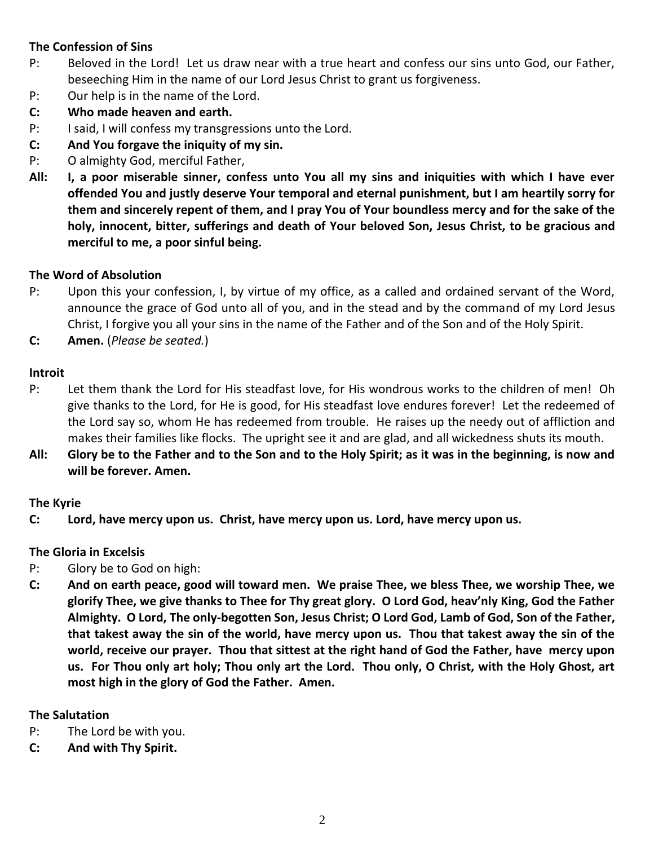## **The Confession of Sins**

- P: Beloved in the Lord! Let us draw near with a true heart and confess our sins unto God, our Father, beseeching Him in the name of our Lord Jesus Christ to grant us forgiveness.
- P: Our help is in the name of the Lord.
- **C: Who made heaven and earth.**
- P: I said, I will confess my transgressions unto the Lord.
- **C: And You forgave the iniquity of my sin.**
- P: O almighty God, merciful Father,
- **All: I, a poor miserable sinner, confess unto You all my sins and iniquities with which I have ever offended You and justly deserve Your temporal and eternal punishment, but I am heartily sorry for them and sincerely repent of them, and I pray You of Your boundless mercy and for the sake of the holy, innocent, bitter, sufferings and death of Your beloved Son, Jesus Christ, to be gracious and merciful to me, a poor sinful being.**

## **The Word of Absolution**

- P: Upon this your confession, I, by virtue of my office, as a called and ordained servant of the Word, announce the grace of God unto all of you, and in the stead and by the command of my Lord Jesus Christ, I forgive you all your sins in the name of the Father and of the Son and of the Holy Spirit.
- **C: Amen.** (*Please be seated.*)

## **Introit**

- P: Let them thank the Lord for His steadfast love, for His wondrous works to the children of men! Oh give thanks to the Lord, for He is good, for His steadfast love endures forever! Let the redeemed of the Lord say so, whom He has redeemed from trouble. He raises up the needy out of affliction and makes their families like flocks. The upright see it and are glad, and all wickedness shuts its mouth.
- **All: Glory be to the Father and to the Son and to the Holy Spirit; as it was in the beginning, is now and will be forever. Amen.**

## **The Kyrie**

**C: Lord, have mercy upon us. Christ, have mercy upon us. Lord, have mercy upon us.**

## **The Gloria in Excelsis**

- P: Glory be to God on high:
- **C: And on earth peace, good will toward men. We praise Thee, we bless Thee, we worship Thee, we glorify Thee, we give thanks to Thee for Thy great glory. O Lord God, heav'nly King, God the Father Almighty. O Lord, The only-begotten Son, Jesus Christ; O Lord God, Lamb of God, Son of the Father, that takest away the sin of the world, have mercy upon us. Thou that takest away the sin of the world, receive our prayer. Thou that sittest at the right hand of God the Father, have mercy upon us. For Thou only art holy; Thou only art the Lord. Thou only, O Christ, with the Holy Ghost, art most high in the glory of God the Father. Amen.**

## **The Salutation**

- P: The Lord be with you.
- **C: And with Thy Spirit.**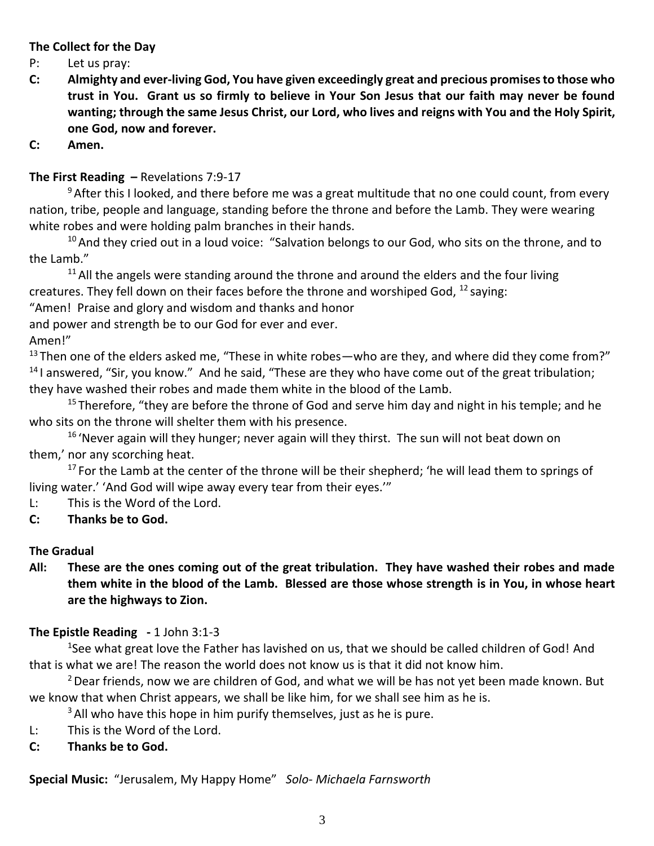## **The Collect for the Day**

- P: Let us pray:
- **C: Almighty and ever-living God, You have given exceedingly great and precious promises to those who trust in You. Grant us so firmly to believe in Your Son Jesus that our faith may never be found wanting; through the same Jesus Christ, our Lord, who lives and reigns with You and the Holy Spirit, one God, now and forever.**
- **C: Amen.**

## **The First Reading –** Revelations 7:9-17

 $9$  After this I looked, and there before me was a great multitude that no one could count, from every nation, tribe, people and language, standing before the throne and before the Lamb. They were wearing white robes and were holding palm branches in their hands.

 $10$  And they cried out in a loud voice: "Salvation belongs to our God, who sits on the throne, and to the Lamb."

 $11$  All the angels were standing around the throne and around the elders and the four living creatures. They fell down on their faces before the throne and worshiped God,  $^{12}$  saying:

"Amen! Praise and glory and wisdom and thanks and honor

and power and strength be to our God for ever and ever.

Amen!"

 $13$  Then one of the elders asked me, "These in white robes—who are they, and where did they come from?"  $14$  I answered, "Sir, you know." And he said, "These are they who have come out of the great tribulation; they have washed their robes and made them white in the blood of the Lamb.

 $15$  Therefore, "they are before the throne of God and serve him day and night in his temple; and he who sits on the throne will shelter them with his presence.

 $16$  'Never again will they hunger; never again will they thirst. The sun will not beat down on them,' nor any scorching heat.

 $17$  For the Lamb at the center of the throne will be their shepherd; 'he will lead them to springs of living water.' 'And God will wipe away every tear from their eyes.'"

L: This is the Word of the Lord.

## **C: Thanks be to God.**

## **The Gradual**

**All: These are the ones coming out of the great tribulation. They have washed their robes and made them white in the blood of the Lamb. Blessed are those whose strength is in You, in whose heart are the highways to Zion.**

## **The Epistle Reading -** 1 John 3:1-3

<sup>1</sup>See what great love the Father has lavished on us, that we should be called children of God! And that is what we are! The reason the world does not know us is that it did not know him.

 $2$  Dear friends, now we are children of God, and what we will be has not yet been made known. But we know that when Christ appears, we shall be like him, for we shall see him as he is.

 $3$  All who have this hope in him purify themselves, just as he is pure.

- L: This is the Word of the Lord.
- **C: Thanks be to God.**

**Special Music:** "Jerusalem, My Happy Home" *Solo- Michaela Farnsworth*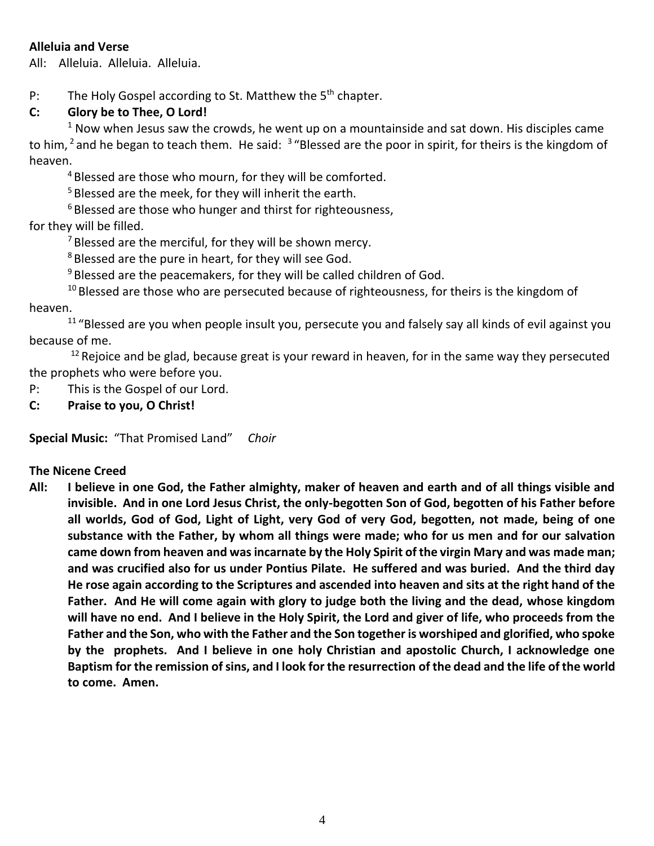## **Alleluia and Verse**

All: Alleluia. Alleluia. Alleluia.

P: The Holy Gospel according to St. Matthew the  $5<sup>th</sup>$  chapter.

## **C: Glory be to Thee, O Lord!**

 $1$  Now when Jesus saw the crowds, he went up on a mountainside and sat down. His disciples came to him, <sup>2</sup> and he began to teach them. He said:  $3\text{ }\textdegree$  Blessed are the poor in spirit, for theirs is the kingdom of heaven.

<sup>4</sup> Blessed are those who mourn, for they will be comforted.

<sup>5</sup> Blessed are the meek, for they will inherit the earth.

 $6$  Blessed are those who hunger and thirst for righteousness,

## for they will be filled.

 $7$  Blessed are the merciful, for they will be shown mercy.

<sup>8</sup> Blessed are the pure in heart, for they will see God.

 $9$  Blessed are the peacemakers, for they will be called children of God.

 $10$  Blessed are those who are persecuted because of righteousness, for theirs is the kingdom of

heaven.

 $11$  "Blessed are you when people insult you, persecute you and falsely say all kinds of evil against you because of me.

 $12$  Rejoice and be glad, because great is your reward in heaven, for in the same way they persecuted the prophets who were before you.

- P: This is the Gospel of our Lord.
- **C: Praise to you, O Christ!**

**Special Music:** "That Promised Land" *Choir*

## **The Nicene Creed**

**All: I believe in one God, the Father almighty, maker of heaven and earth and of all things visible and invisible. And in one Lord Jesus Christ, the only-begotten Son of God, begotten of his Father before all worlds, God of God, Light of Light, very God of very God, begotten, not made, being of one substance with the Father, by whom all things were made; who for us men and for our salvation came down from heaven and was incarnate by the Holy Spirit of the virgin Mary and was made man; and was crucified also for us under Pontius Pilate. He suffered and was buried. And the third day He rose again according to the Scriptures and ascended into heaven and sits at the right hand of the Father. And He will come again with glory to judge both the living and the dead, whose kingdom will have no end. And I believe in the Holy Spirit, the Lord and giver of life, who proceeds from the Father and the Son, who with the Father and the Son together is worshiped and glorified, who spoke by the prophets. And I believe in one holy Christian and apostolic Church, I acknowledge one Baptism for the remission of sins, and I look for the resurrection of the dead and the life of the world to come. Amen.**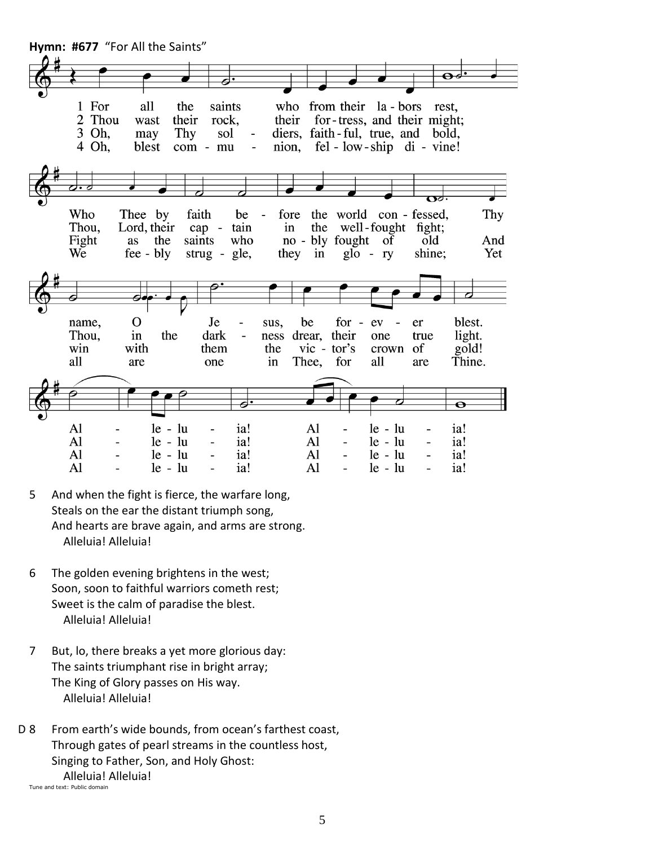

- 5 And when the fight is fierce, the warfare long, Steals on the ear the distant triumph song, And hearts are brave again, and arms are strong. Alleluia! Alleluia!
- 6 The golden evening brightens in the west; Soon, soon to faithful warriors cometh rest; Sweet is the calm of paradise the blest. Alleluia! Alleluia!
- 7 But, lo, there breaks a yet more glorious day: The saints triumphant rise in bright array; The King of Glory passes on His way. Alleluia! Alleluia!
- D 8 From earth's wide bounds, from ocean's farthest coast, Through gates of pearl streams in the countless host, Singing to Father, Son, and Holy Ghost: Alleluia! Alleluia! Tune and text: Public domain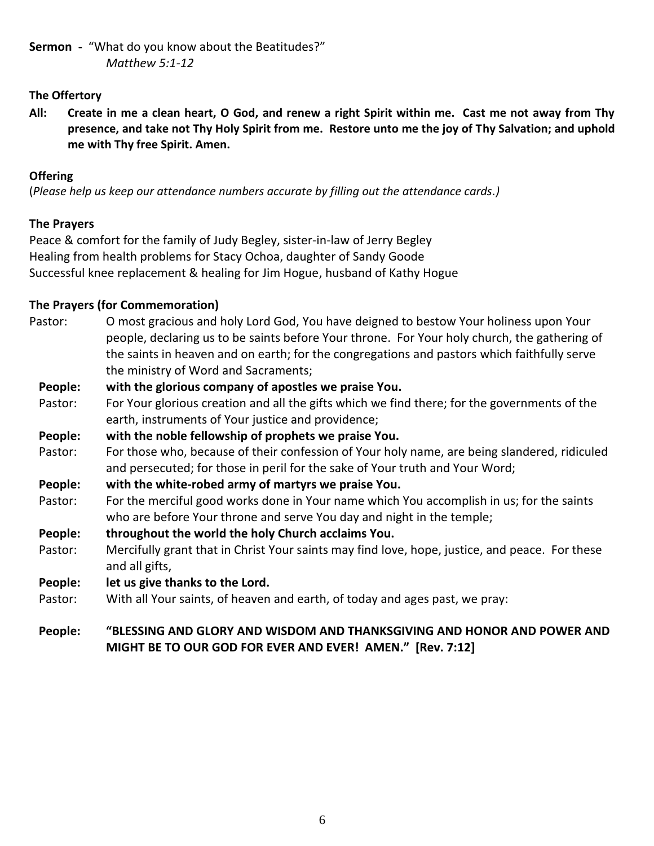**Sermon -** "What do you know about the Beatitudes?" *Matthew 5:1-12*

## **The Offertory**

**All: Create in me a clean heart, O God, and renew a right Spirit within me. Cast me not away from Thy presence, and take not Thy Holy Spirit from me. Restore unto me the joy of Thy Salvation; and uphold me with Thy free Spirit. Amen.**

## **Offering**

(*Please help us keep our attendance numbers accurate by filling out the attendance cards.)*

## **The Prayers**

Peace & comfort for the family of Judy Begley, sister-in-law of Jerry Begley Healing from health problems for Stacy Ochoa, daughter of Sandy Goode Successful knee replacement & healing for Jim Hogue, husband of Kathy Hogue

## **The Prayers (for Commemoration)**

Pastor: O most gracious and holy Lord God, You have deigned to bestow Your holiness upon Your people, declaring us to be saints before Your throne. For Your holy church, the gathering of the saints in heaven and on earth; for the congregations and pastors which faithfully serve the ministry of Word and Sacraments;

## **People: with the glorious company of apostles we praise You.**

- Pastor: For Your glorious creation and all the gifts which we find there; for the governments of the earth, instruments of Your justice and providence;
- **People: with the noble fellowship of prophets we praise You.**
- Pastor: For those who, because of their confession of Your holy name, are being slandered, ridiculed and persecuted; for those in peril for the sake of Your truth and Your Word;
- **People: with the white-robed army of martyrs we praise You.**
- Pastor: For the merciful good works done in Your name which You accomplish in us; for the saints who are before Your throne and serve You day and night in the temple;
- **People: throughout the world the holy Church acclaims You.**
- Pastor: Mercifully grant that in Christ Your saints may find love, hope, justice, and peace. For these and all gifts,
- **People: let us give thanks to the Lord.**
- Pastor: With all Your saints, of heaven and earth, of today and ages past, we pray:

## **People: "BLESSING AND GLORY AND WISDOM AND THANKSGIVING AND HONOR AND POWER AND MIGHT BE TO OUR GOD FOR EVER AND EVER! AMEN." [Rev. 7:12]**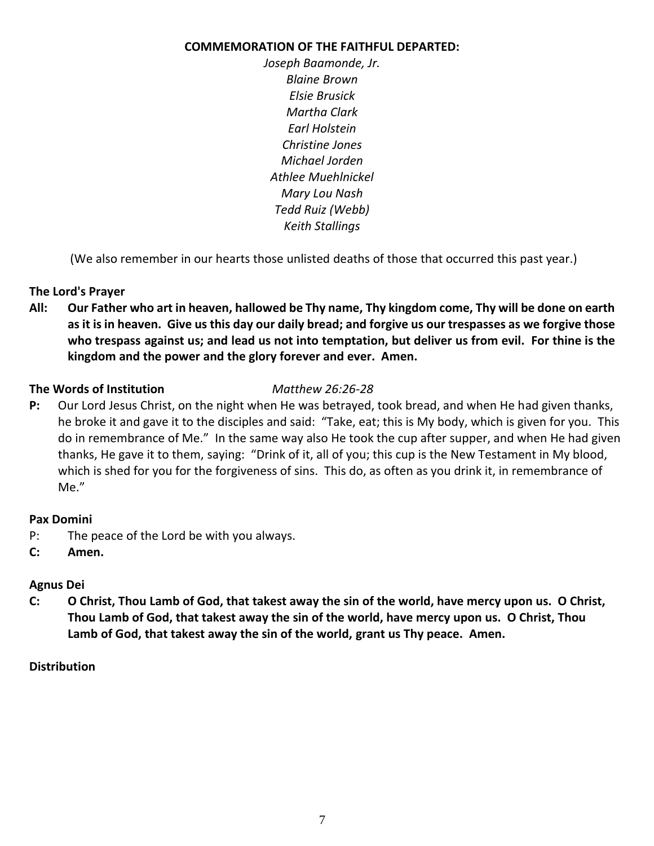## **COMMEMORATION OF THE FAITHFUL DEPARTED:**

*Joseph Baamonde, Jr. Blaine Brown Elsie Brusick Martha Clark Earl Holstein Christine Jones Michael Jorden Athlee Muehlnickel Mary Lou Nash Tedd Ruiz (Webb) Keith Stallings*

(We also remember in our hearts those unlisted deaths of those that occurred this past year.)

## **The Lord's Prayer**

**All: Our Father who art in heaven, hallowed be Thy name, Thy kingdom come, Thy will be done on earth as it is in heaven. Give us this day our daily bread; and forgive us our trespasses as we forgive those who trespass against us; and lead us not into temptation, but deliver us from evil. For thine is the kingdom and the power and the glory forever and ever. Amen.**

## **The Words of Institution** *Matthew 26:26-28*

**P:** Our Lord Jesus Christ, on the night when He was betrayed, took bread, and when He had given thanks, he broke it and gave it to the disciples and said: "Take, eat; this is My body, which is given for you. This do in remembrance of Me." In the same way also He took the cup after supper, and when He had given thanks, He gave it to them, saying: "Drink of it, all of you; this cup is the New Testament in My blood, which is shed for you for the forgiveness of sins. This do, as often as you drink it, in remembrance of Me."

## **Pax Domini**

- P: The peace of the Lord be with you always.
- **C: Amen.**

## **Agnus Dei**

**C: O Christ, Thou Lamb of God, that takest away the sin of the world, have mercy upon us. O Christ, Thou Lamb of God, that takest away the sin of the world, have mercy upon us. O Christ, Thou Lamb of God, that takest away the sin of the world, grant us Thy peace. Amen.**

## **Distribution**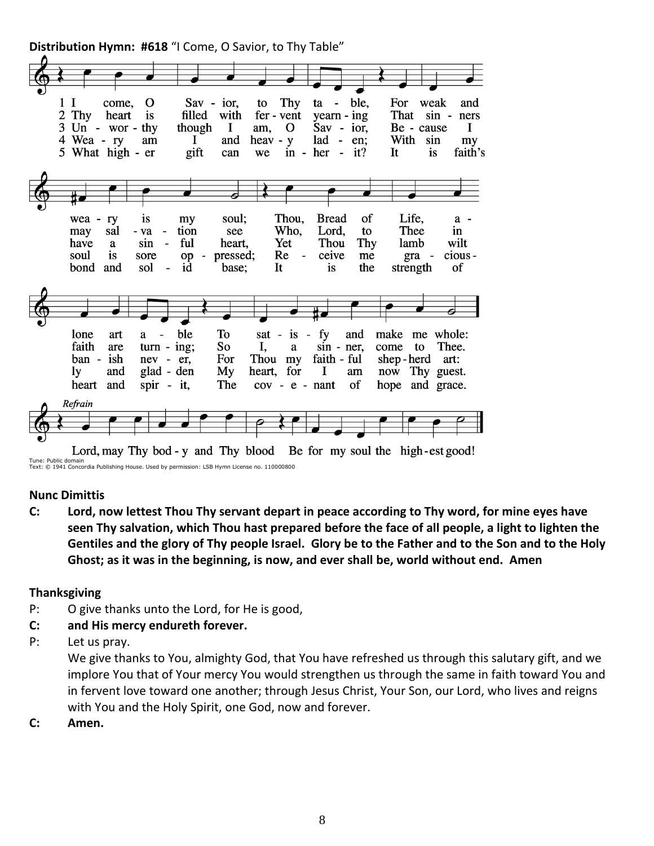**Distribution Hymn: #618** "I Come, O Savior, to Thy Table"



Text: © 1941 Concordia Publishing House. Used by permission: LSB Hymn License no. 110000800

#### **Nunc Dimittis**

**C: Lord, now lettest Thou Thy servant depart in peace according to Thy word, for mine eyes have seen Thy salvation, which Thou hast prepared before the face of all people, a light to lighten the Gentiles and the glory of Thy people Israel. Glory be to the Father and to the Son and to the Holy Ghost; as it was in the beginning, is now, and ever shall be, world without end. Amen**

## **Thanksgiving**

- P: O give thanks unto the Lord, for He is good,
- **C: and His mercy endureth forever.**
- P: Let us pray.

We give thanks to You, almighty God, that You have refreshed us through this salutary gift, and we implore You that of Your mercy You would strengthen us through the same in faith toward You and in fervent love toward one another; through Jesus Christ, Your Son, our Lord, who lives and reigns with You and the Holy Spirit, one God, now and forever.

**C: Amen.**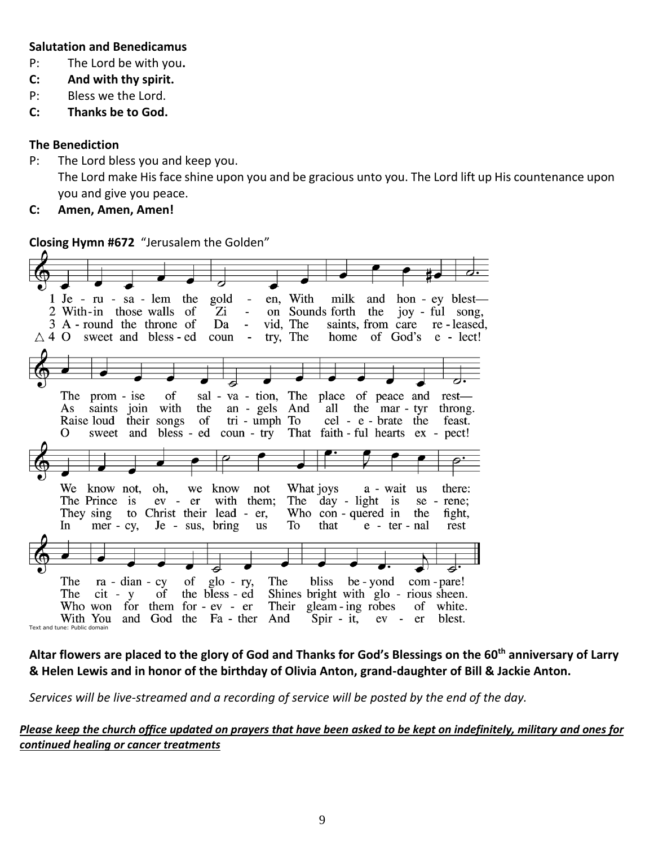## **Salutation and Benedicamus**

- P: The Lord be with you**.**
- **C: And with thy spirit.**
- P: Bless we the Lord.
- **C: Thanks be to God.**

## **The Benediction**

- P: The Lord bless you and keep you. The Lord make His face shine upon you and be gracious unto you. The Lord lift up His countenance upon you and give you peace.
- **C: Amen, Amen, Amen!**

**Closing Hymn #672** "Jerusalem the Golden"

| - en, With milk<br>1 Je - ru - sa - lem the gold<br>and hon - ey blest—                         |
|-------------------------------------------------------------------------------------------------|
| Zi<br>on Sounds forth<br>joy - ful song,<br>2 With-in those walls of<br>the<br>$\sim 10^{-1}$   |
| Da<br>vid, The<br>3 A - round the throne of<br>saints, from care re-leased,<br>$\sim 10^{-1}$   |
| try, The home of God's e - lect!<br>$\triangle$ 4 O sweet and bless - ed coun<br>$\sim$ $ \sim$ |
|                                                                                                 |
|                                                                                                 |
|                                                                                                 |
|                                                                                                 |
| $\sigma f$<br>sal - va - tion, The place of peace and<br>The prom - ise<br>rest—                |
|                                                                                                 |
| saints join with<br>the an - gels And all the mar - tyr<br>As<br>throng.                        |
| their songs of tri - umph To cel - e - brate<br>Raise loud<br>the<br>feast.                     |
| sweet and bless - ed coun - try That faith - ful hearts ex - pect!<br>O                         |
|                                                                                                 |
|                                                                                                 |
|                                                                                                 |
|                                                                                                 |
| What joys a - wait<br>We know not, oh, we<br>know<br>there:<br>not<br>us                        |
| The day - light is<br>The Prince is<br>ev - er<br>with them;<br>se - rene;                      |
| They sing to Christ their lead - er,<br>Who con - quered in<br>the<br>fight,                    |
| To<br>that $e$ - ter - nal<br>In mer - cy, Je - sus, bring<br>us<br>rest                        |
|                                                                                                 |
|                                                                                                 |
|                                                                                                 |
|                                                                                                 |
| $ra - dian - cy$ of $glo - ry$ ,<br>The<br>The<br>bliss be - yond com - pare!                   |
| Shines bright with glo - rious sheen.<br>$cit - y$ of<br>the bless - ed<br>The                  |
| Their gleam - ing robes<br>Who won for them for - ev - er<br>of white.                          |
| and<br>God the Fa - ther<br>And<br>Spir - it, ev - er<br>blest.<br>With You                     |
| Text and tune: Public domain                                                                    |

**Altar flowers are placed to the glory of God and Thanks for God's Blessings on the 60th anniversary of Larry & Helen Lewis and in honor of the birthday of Olivia Anton, grand-daughter of Bill & Jackie Anton.**

*Services will be live-streamed and a recording of service will be posted by the end of the day.* 

## *Please keep the church office updated on prayers that have been asked to be kept on indefinitely, military and ones for continued healing or cancer treatments*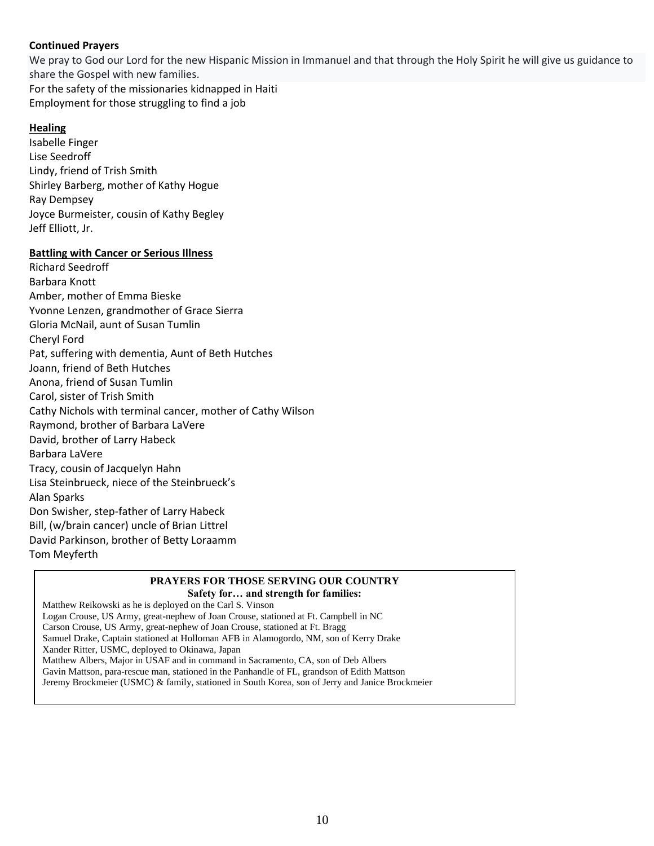#### **Continued Prayers**

We pray to God our Lord for the new Hispanic Mission in Immanuel and that through the Holy Spirit he will give us guidance to share the Gospel with new families. For the safety of the missionaries kidnapped in Haiti

Employment for those struggling to find a job

#### **Healing**

Isabelle Finger Lise Seedroff Lindy, friend of Trish Smith Shirley Barberg, mother of Kathy Hogue Ray Dempsey Joyce Burmeister, cousin of Kathy Begley Jeff Elliott, Jr.

#### **Battling with Cancer or Serious Illness**

Richard Seedroff Barbara Knott Amber, mother of Emma Bieske Yvonne Lenzen, grandmother of Grace Sierra Gloria McNail, aunt of Susan Tumlin Cheryl Ford Pat, suffering with dementia, Aunt of Beth Hutches Joann, friend of Beth Hutches Anona, friend of Susan Tumlin Carol, sister of Trish Smith Cathy Nichols with terminal cancer, mother of Cathy Wilson Raymond, brother of Barbara LaVere David, brother of Larry Habeck Barbara LaVere Tracy, cousin of Jacquelyn Hahn Lisa Steinbrueck, niece of the Steinbrueck's Alan Sparks Don Swisher, step-father of Larry Habeck Bill, (w/brain cancer) uncle of Brian Littrel David Parkinson, brother of Betty Loraamm Tom Meyferth

#### **PRAYERS FOR THOSE SERVING OUR COUNTRY Safety for… and strength for families:**

Matthew Reikowski as he is deployed on the Carl S. Vinson Logan Crouse, US Army, great-nephew of Joan Crouse, stationed at Ft. Campbell in NC Carson Crouse, US Army, great-nephew of Joan Crouse, stationed at Ft. Bragg Samuel Drake, Captain stationed at Holloman AFB in Alamogordo, NM, son of Kerry Drake Xander Ritter, USMC, deployed to Okinawa, Japan Matthew Albers, Major in USAF and in command in Sacramento, CA, son of Deb Albers Gavin Mattson, para-rescue man, stationed in the Panhandle of FL, grandson of Edith Mattson Jeremy Brockmeier (USMC) & family, stationed in South Korea, son of Jerry and Janice Brockmeier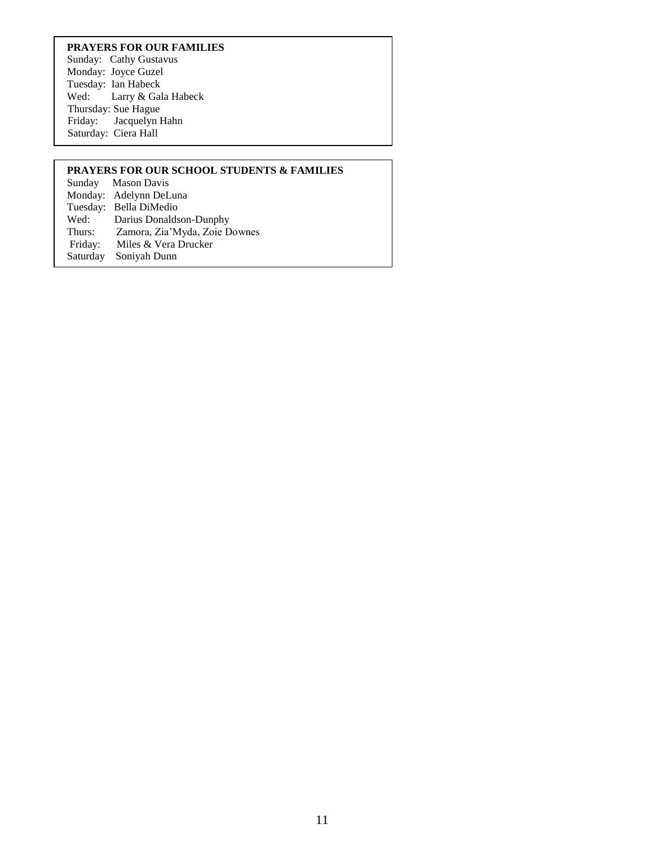#### **PRAYERS FOR OUR FAMILIES**

Sunday: Cathy Gustavus Monday: Joyce Guzel Tuesday: Ian Habeck<br>Wed: Larry & Gal Larry & Gala Habeck Thursday: Sue Hague Friday: Jacquelyn Hahn Saturday: Ciera Hall

#### **PRAYERS FOR OUR SCHOOL STUDENTS & FAMILIES**

Sunday Mason Davis Monday: Adelynn DeLuna Tuesday: Bella DiMedio<br>Wed: Darius Donalds Wed: Darius Donaldson-Dunphy<br>Thurs: Zamora, Zia'Myda, Zoie D Thurs: Zamora, Zia'Myda, Zoie Downes Miles & Vera Drucker Saturday Soniyah Dunn